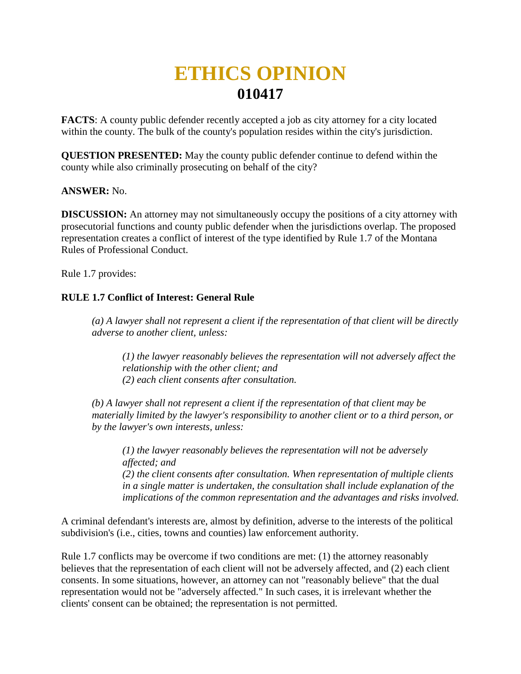## **ETHICS OPINION 010417**

**FACTS**: A county public defender recently accepted a job as city attorney for a city located within the county. The bulk of the county's population resides within the city's jurisdiction.

**QUESTION PRESENTED:** May the county public defender continue to defend within the county while also criminally prosecuting on behalf of the city?

## **ANSWER:** No.

**DISCUSSION:** An attorney may not simultaneously occupy the positions of a city attorney with prosecutorial functions and county public defender when the jurisdictions overlap. The proposed representation creates a conflict of interest of the type identified by Rule 1.7 of the Montana Rules of Professional Conduct.

Rule 1.7 provides:

## **RULE 1.7 Conflict of Interest: General Rule**

*(a) A lawyer shall not represent a client if the representation of that client will be directly adverse to another client, unless:* 

*(1) the lawyer reasonably believes the representation will not adversely affect the relationship with the other client; and (2) each client consents after consultation.*

*(b) A lawyer shall not represent a client if the representation of that client may be materially limited by the lawyer's responsibility to another client or to a third person, or by the lawyer's own interests, unless:* 

*(1) the lawyer reasonably believes the representation will not be adversely affected; and (2) the client consents after consultation. When representation of multiple clients in a single matter is undertaken, the consultation shall include explanation of the implications of the common representation and the advantages and risks involved.*

A criminal defendant's interests are, almost by definition, adverse to the interests of the political subdivision's (i.e., cities, towns and counties) law enforcement authority.

Rule 1.7 conflicts may be overcome if two conditions are met: (1) the attorney reasonably believes that the representation of each client will not be adversely affected, and (2) each client consents. In some situations, however, an attorney can not "reasonably believe" that the dual representation would not be "adversely affected." In such cases, it is irrelevant whether the clients' consent can be obtained; the representation is not permitted.